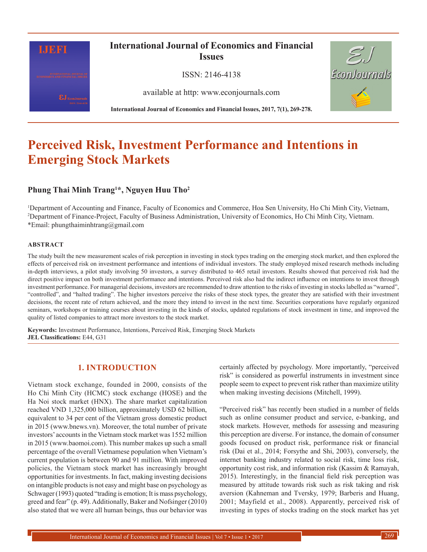

# **Perceived Risk, Investment Performance and Intentions in Emerging Stock Markets**

# **Phung Thai Minh Trang1 \*, Nguyen Huu Tho2**

1 Department of Accounting and Finance, Faculty of Economics and Commerce, Hoa Sen University, Ho Chi Minh City, Vietnam, 2 Department of Finance-Project, Faculty of Business Administration, University of Economics, Ho Chi Minh City, Vietnam. \*Email: phungthaiminhtrang@gmail.com

#### **ABSTRACT**

The study built the new measurement scales of risk perception in investing in stock types trading on the emerging stock market, and then explored the effects of perceived risk on investment performance and intentions of individual investors. The study employed mixed research methods including in-depth interviews, a pilot study involving 50 investors, a survey distributed to 465 retail investors. Results showed that perceived risk had the direct positive impact on both investment performance and intentions. Perceived risk also had the indirect influence on intentions to invest through investment performance. For managerial decisions, investors are recommended to draw attention to the risks of investing in stocks labelled as "warned", "controlled", and "halted trading". The higher investors perceive the risks of these stock types, the greater they are satisfied with their investment decisions, the recent rate of return achieved, and the more they intend to invest in the next time. Securities corporations have regularly organized seminars, workshops or training courses about investing in the kinds of stocks, updated regulations of stock investment in time, and improved the quality of listed companies to attract more investors to the stock market.

**Keywords:** Investment Performance, Intentions, Perceived Risk, Emerging Stock Markets **JEL Classifications:** E44, G31

# **1. INTRODUCTION**

Vietnam stock exchange, founded in 2000, consists of the Ho Chi Minh City (HCMC) stock exchange (HOSE) and the Ha Noi stock market (HNX). The share market capitalization reached VND 1,325,000 billion, approximately USD 62 billion, equivalent to 34 per cent of the Vietnam gross domestic product in 2015 (www.bnews.vn). Moreover, the total number of private investors' accounts in the Vietnam stock market was 1552 million in 2015 (www.baomoi.com). This number makes up such a small percentage of the overall Vietnamese population when Vietnam's current population is between 90 and 91 million. With improved policies, the Vietnam stock market has increasingly brought opportunities for investments. In fact, making investing decisions on intangible products is not easy and might base on psychology as Schwager (1993) quoted "trading is emotion; It is mass psychology, greed and fear" (p. 49). Additionally, Baker and Nofsinger (2010) also stated that we were all human beings, thus our behavior was

certainly affected by psychology. More importantly, "perceived risk" is considered as powerful instruments in investment since people seem to expect to prevent risk rather than maximize utility when making investing decisions (Mitchell, 1999).

"Perceived risk" has recently been studied in a number of fields such as online consumer product and service, e-banking, and stock markets. However, methods for assessing and measuring this perception are diverse. For instance, the domain of consumer goods focused on product risk, performance risk or financial risk (Dai et al., 2014; Forsythe and Shi, 2003), conversely, the internet banking industry related to social risk, time loss risk, opportunity cost risk, and information risk (Kassim & Ramayah, 2015). Interestingly, in the financial field risk perception was measured by attitude towards risk such as risk taking and risk aversion (Kahneman and Tversky, 1979; Barberis and Huang, 2001; Mayfield et al., 2008). Apparently, perceived risk of investing in types of stocks trading on the stock market has yet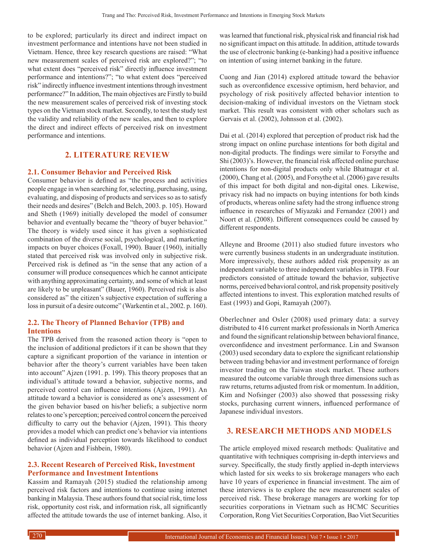to be explored; particularly its direct and indirect impact on investment performance and intentions have not been studied in Vietnam. Hence, three key research questions are raised: "What new measurement scales of perceived risk are explored?"; "to what extent does "perceived risk" directly influence investment performance and intentions?"; "to what extent does "perceived risk" indirectly influence investment intentions through investment performance?" In addition, The main objectives are Firstly to build the new measurement scales of perceived risk of investing stock types on the Vietnam stock market. Secondly, to test the study test the validity and reliability of the new scales, and then to explore the direct and indirect effects of perceived risk on investment performance and intentions.

# **2. LITERATURE REVIEW**

#### **2.1. Consumer Behavior and Perceived Risk**

Consumer behavior is defined as "the process and activities people engage in when searching for, selecting, purchasing, using, evaluating, and disposing of products and services so as to satisfy their needs and desires" (Belch and Belch, 2003. p. 105). Howard and Sheth (1969) initially developed the model of consumer behavior and eventually became the "theory of buyer behavior." The theory is widely used since it has given a sophisticated combination of the diverse social, psychological, and marketing impacts on buyer choices (Foxall, 1990). Bauer (1960), initially stated that perceived risk was involved only in subjective risk. Perceived risk is defined as "in the sense that any action of a consumer will produce consequences which he cannot anticipate with anything approximating certainty, and some of which at least are likely to be unpleasant" (Bauer, 1960). Perceived risk is also considered as" the citizen's subjective expectation of suffering a loss in pursuit of a desire outcome" (Warkentin et al., 2002. p. 160).

### **2.2. The Theory of Planned Behavior (TPB) and Intentions**

The TPB derived from the reasoned action theory is "open to the inclusion of additional predictors if it can be shown that they capture a significant proportion of the variance in intention or behavior after the theory's current variables have been taken into account" Ajzen (1991. p. 199). This theory proposes that an individual's attitude toward a behavior, subjective norms, and perceived control can influence intentions (Ajzen, 1991). An attitude toward a behavior is considered as one's assessment of the given behavior based on his/her beliefs; a subjective norm relates to one's perception; perceived control concern the perceived difficulty to carry out the behavior (Ajzen, 1991). This theory provides a model which can predict one's behavior via intentions defined as individual perception towards likelihood to conduct behavior (Ajzen and Fishbein, 1980).

#### **2.3. Recent Research of Perceived Risk, Investment Performance and Investment Intentions**

Kassim and Ramayah (2015) studied the relationship among perceived risk factors and intentions to continue using internet banking in Malaysia. These authors found that social risk, time loss risk, opportunity cost risk, and information risk, all significantly affected the attitude towards the use of internet banking. Also, it was learned that functional risk, physical risk and financial risk had no significant impact on this attitude. In addition, attitude towards the use of electronic banking (e-banking) had a positive influence on intention of using internet banking in the future.

Cuong and Jian (2014) explored attitude toward the behavior such as overconfidence excessive optimism, herd behavior, and psychology of risk positively affected behavior intention to decision-making of individual investors on the Vietnam stock market. This result was consistent with other scholars such as Gervais et al. (2002), Johnsson et al. (2002).

Dai et al. (2014) explored that perception of product risk had the strong impact on online purchase intentions for both digital and non-digital products. The findings were similar to Forsythe and Shi (2003)'s. However, the financial risk affected online purchase intentions for non-digital products only while Bhatnagar et al. (2000), Chang et al. (2005), and Forsythe et al. (2006) gave results of this impact for both digital and non-digital ones. Likewise, privacy risk had no impacts on buying intentions for both kinds of products, whereas online safety had the strong influence strong influence in researches of Miyazaki and Fernandez (2001) and Noort et al. (2008). Different consequences could be caused by different respondents.

Alleyne and Broome (2011) also studied future investors who were currently business students in an undergraduate institution. More impressively, these authors added risk propensity as an independent variable to three independent variables in TPB. Four predictors consisted of attitude toward the behavior, subjective norms, perceived behavioral control, and risk propensity positively affected intentions to invest. This exploration matched results of East (1993) and Gopi, Ramayah (2007).

Oberlechner and Osler (2008) used primary data: a survey distributed to 416 current market professionals in North America and found the significant relationship between behavioral finance, overconfidence and investment performance. Lin and Swanson (2003) used secondary data to explore the significant relationship between trading behavior and investment performance of foreign investor trading on the Taiwan stock market. These authors measured the outcome variable through three dimensions such as raw returns, returns adjusted from risk or momentum. In addition, Kim and Nofsinger (2003) also showed that possessing risky stocks, purchasing current winners, influenced performance of Japanese individual investors.

# **3. RESEARCH METHODS AND MODELS**

The article employed mixed research methods: Qualitative and quantitative with techniques comprising in-depth interviews and survey. Specifically, the study firstly applied in-depth interviews which lasted for six weeks to six brokerage managers who each have 10 years of experience in financial investment. The aim of these interviews is to explore the new measurement scales of perceived risk. These brokerage managers are working for top securities corporations in Vietnam such as HCMC Securities Corporation, Rong Viet Securities Corporation, Bao Viet Securities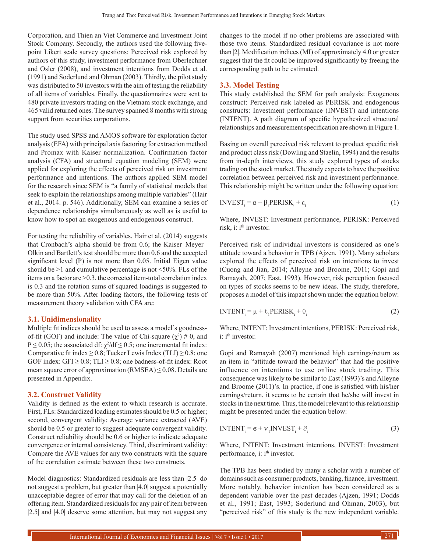Corporation, and Thien an Viet Commerce and Investment Joint Stock Company. Secondly, the authors used the following fivepoint Likert scale survey questions: Perceived risk explored by authors of this study, investment performance from Oberlechner and Osler (2008), and investment intentions from Dodds et al. (1991) and Soderlund and Ohman (2003). Thirdly, the pilot study was distributed to 50 investors with the aim of testing the reliability of all items of variables. Finally, the questionnaires were sent to 480 private investors trading on the Vietnam stock exchange, and 465 valid returned ones. The survey spanned 8 months with strong support from securities corporations.

The study used SPSS and AMOS software for exploration factor analysis (EFA) with principal axis factoring for extraction method and Promax with Kaiser normalization. Confirmation factor analysis (CFA) and structural equation modeling (SEM) were applied for exploring the effects of perceived risk on investment performance and intentions. The authors applied SEM model for the research since SEM is "a family of statistical models that seek to explain the relationships among multiple variables" (Hair et al., 2014. p. 546). Additionally, SEM can examine a series of dependence relationships simultaneously as well as is useful to know how to spot an exogenous and endogenous construct.

For testing the reliability of variables. Hair et al. (2014) suggests that Cronbach's alpha should be from 0.6; the Kaiser–Meyer– Olkin and Bartlett's test should be more than 0.6 and the accepted significant level (P) is not more than 0.05. Initial Eigen value should be  $>1$  and cumulative percentage is not  $<50\%$ . FLs of the items on a factor are >0.3, the corrected item-total correlation index is 0.3 and the rotation sums of squared loadings is suggested to be more than 50%. After loading factors, the following tests of measurement theory validation with CFA are:

#### **3.1. Unidimensionality**

Multiple fit indices should be used to assess a model's goodnessof-fit (GOF) and include: The value of Chi-square  $(\chi^2) \# 0$ , and  $P \le 0.05$ ; the associated df:  $\chi^2/df \le 0.5$ ; one incremental fit index: Comparative fit index  $\geq 0.8$ ; Tucker Lewis Index (TLI)  $\geq 0.8$ ; one GOF index: GFI  $\geq$  0.8; TLI  $\geq$  0.8; one badness-of-fit index: Root mean square error of approximation  $(RMSEA) \leq 0.08$ . Details are presented in Appendix.

#### **3.2. Construct Validity**

Validity is defined as the extent to which research is accurate. First, FLs: Standardized loading estimates should be 0.5 or higher; second, convergent validity: Average variance extracted (AVE) should be 0.5 or greater to suggest adequate convergent validity. Construct reliability should be 0.6 or higher to indicate adequate convergence or internal consistency. Third, discriminant validity: Compare the AVE values for any two constructs with the square of the correlation estimate between these two constructs.

Model diagnostics: Standardized residuals are less than |2.5| do not suggest a problem, but greater than |4.0| suggest a potentially unacceptable degree of error that may call for the deletion of an offering item. Standardized residuals for any pair of item between |2.5| and |4.0| deserve some attention, but may not suggest any changes to the model if no other problems are associated with those two items. Standardized residual covariance is not more than |2|. Modification indices (MI) of approximately 4.0 or greater suggest that the fit could be improved significantly by freeing the corresponding path to be estimated.

#### **3.3. Model Testing**

This study established the SEM for path analysis: Exogenous construct: Perceived risk labeled as PERISK and endogenous constructs: Investment performance (INVEST) and intentions (INTENT). A path diagram of specific hypothesized structural relationships and measurement specification are shown in Figure 1.

Basing on overall perceived risk relevant to product specific risk and product class risk (Dowling and Staelin, 1994) and the results from in-depth interviews, this study explored types of stocks trading on the stock market. The study expects to have the positive correlation between perceived risk and investment performance. This relationship might be written under the following equation:

$$
INVEST_i = \alpha + \beta_1 PERISK_i + \varepsilon_i
$$
 (1)

Where, INVEST: Investment performance, PERISK: Perceived risk, i: i<sup>th</sup> investor.

Perceived risk of individual investors is considered as one's attitude toward a behavior in TPB (Ajzen, 1991). Many scholars explored the effects of perceived risk on intentions to invest (Cuong and Jian, 2014; Alleyne and Broome, 2011; Gopi and Ramayah, 2007; East, 1993). However, risk perception focused on types of stocks seems to be new ideas. The study, therefore, proposes a model of this impact shown under the equation below:

$$
INTERT_i = \mu + \ell_1 PERISK_i + \theta_i
$$
 (2)

Where, INTENT: Investment intentions, PERISK: Perceived risk, i:  $i<sup>th</sup>$  investor.

Gopi and Ramayah (2007) mentioned high earnings/return as an item in "attitude toward the behavior" that had the positive influence on intentions to use online stock trading. This consequence was likely to be similar to East (1993)'s and Alleyne and Broome (2011)'s. In practice, if one is satisfied with his/her earnings/return, it seems to be certain that he/she will invest in stocks in the next time. Thus, the model relevant to this relationship might be presented under the equation below:

$$
INTERTi = 6 + v1 INVESTi + \partiali
$$
 (3)

Where, INTENT: Investment intentions, INVEST: Investment performance, i: i<sup>th</sup> investor.

The TPB has been studied by many a scholar with a number of domains such as consumer products, banking, finance, investment. More notably, behavior intention has been considered as a dependent variable over the past decades (Ajzen, 1991; Dodds et al., 1991; East, 1993; Soderlund and Ohman, 2003), but "perceived risk" of this study is the new independent variable.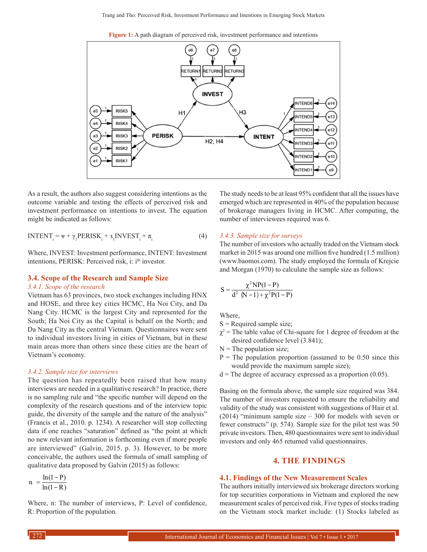**Figure 1:** A path diagram of perceived risk, investment performance and intentions



As a result, the authors also suggest considering intentions as the outcome variable and testing the effects of perceived risk and investment performance on intentions to invest. The equation might be indicated as follows:

$$
INTERTi = \Psi + \gamma1 PERISKi + 31 INVESTi + \pii
$$
 (4)

Where, INVEST: Investment performance, INTENT: Investment intentions, PERISK: Perceived risk, i: i<sup>th</sup> investor.

#### **3.4. Scope of the Research and Sample Size** *3.4.1. Scope of the research*

Vietnam has 63 provinces, two stock exchanges including HNX and HOSE, and three key cities HCMC, Ha Noi City, and Da Nang City. HCMC is the largest City and represented for the South; Ha Noi City as the Capital is behalf on the North; and Da Nang City as the central Vietnam. Questionnaires were sent to individual investors living in cities of Vietnam, but in these main areas more than others since these cities are the heart of Vietnam's economy.

#### *3.4.2. Sample size for interviews*

The question has repeatedly been raised that how many interviews are needed in a qualitative research? In practice, there is no sampling rule and "the specific number will depend on the complexity of the research questions and of the interview topic guide, the diversity of the sample and the nature of the analysis" (Francis et al., 2010. p. 1234). A researcher will stop collecting data if one reaches "saturation" defined as "the point at which no new relevant information is forthcoming even if more people are interviewed" (Galvin, 2015. p. 3). However, to be more conceivable, the authors used the formula of small sampling of qualitative data proposed by Galvin (2015) as follows:

$$
n = \frac{\ln(1-P)}{\ln(1-R)}
$$

Where, n: The number of interviews, P: Level of confidence, R: Proportion of the population.

The study needs to be at least 95% confident that all the issues have emerged which are represented in 40% of the population because of brokerage managers living in HCMC. After computing, the number of interviewees required was 6.

#### *3.4.3. Sample size for surveys*

The number of investors who actually traded on the Vietnam stock market in 2015 was around one million five hundred (1.5 million) (www.baomoi.com). The study employed the formula of Krejcie and Morgan (1970) to calculate the sample size as follows:

$$
S = \frac{\chi^2 NP(1 - P)}{d^2 (N - 1) + \chi^2 P(1 - P)}
$$

Where,

- $S =$ Required sample size;
- $\chi^2$  = The table value of Chi-square for 1 degree of freedom at the desired confidence level (3.841);
- $N =$ The population size;
- $P =$ The population proportion (assumed to be 0.50 since this would provide the maximum sample size);
- $d =$ The degree of accuracy expressed as a proportion (0.05).

Basing on the formula above, the sample size required was 384. The number of investors requested to ensure the reliability and validity of the study was consistent with suggestions of Hair et al. (2014) "minimum sample size – 300 for models with seven or fewer constructs" (p. 574). Sample size for the pilot test was 50 private investors. Then, 480 questionnaires were sent to individual investors and only 465 returned valid questionnaires.

#### **4. THE FINDINGS**

#### **4.1. Findings of the New Measurement Scales**

The authors initially interviewed six brokerage directors working for top securities corporations in Vietnam and explored the new measurement scales of perceived risk. Five types of stocks trading on the Vietnam stock market include: (1) Stocks labeled as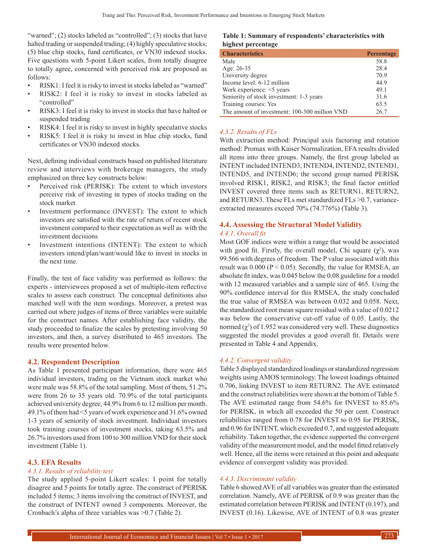"warned";  $(2)$  stocks labeled as "controlled";  $(3)$  stocks that have halted trading or suspended trading; (4) highly speculative stocks; (5) blue chip stocks, fund certificates, or VN30 indexed stocks. Five questions with 5-point Likert scales, from totally disagree to totally agree, concerned with perceived risk are proposed as follows:

- RISK1: I feel it is risky to invest in stocks labeled as "warned"
- RISK2: I feel it is risky to invest in stocks labeled as "controlled"
- RISK3: I feel it is risky to invest in stocks that have halted or suspended trading
- RISK4: I feel it is risky to invest in highly speculative stocks
- RISK5: I feel it is risky to invest in blue chip stocks, fund certificates or VN30 indexed stocks.

Next, defining individual constructs based on published literature review and interviews with brokerage managers, the study emphasized on three key constructs below:

- Perceived risk (PERISK): The extent to which investors perceive risk of investing in types of stocks trading on the stock market
- Investment performance (INVEST): The extent to which investors are satisfied with the rate of return of recent stock investment compared to their expectation as well as with the investment decisions
- Investment intentions (INTENT): The extent to which investors intend/plan/want/would like to invest in stocks in the next time.

Finally, the test of face validity was performed as follows: the experts - interviewees proposed a set of multiple-item reflective scales to assess each construct. The conceptual definitions also matched well with the item wordings. Moreover, a pretest was carried out where judges of items of three variables were suitable for the construct names. After establishing face validity, the study proceeded to finalize the scales by pretesting involving 50 investors, and then, a survey distributed to 465 investors. The results were presented below.

#### **4.2. Respondent Description**

As Table 1 presented participant information, there were 465 individual investors, trading on the Vietnam stock market who were male was 58.8% of the total sampling. Most of them, 51.2% were from 26 to 35 years old. 70.9% of the total participants achieved university degree, 44.9% from 6 to 12 million per month. 49.1% of them had <5 years of work experience and 31.6% owned 1-3 years of seniority of stock investment. Individual investors took training courses of investment stocks, taking 63.5% and 26.7% investors used from 100 to 300 million VND for their stock investment (Table 1).

#### **4.3. EFA Results**

#### *4.3.1. Results of reliability test*

The study applied 5-point Likert scales: 1 point for totally disagree and 5 points for totally agree. The construct of PERISK included 5 items; 3 items involving the construct of INVEST, and the construct of INTENT owned 3 components. Moreover, the Cronbach's alpha of three variables was >0.7 (Table 2).

#### **Table 1: Summary of respondents' characteristics with highest percentage**

| <b>Characteristics</b>                        | Percentage |
|-----------------------------------------------|------------|
| Male                                          | 58.8       |
| Age: 26-35                                    | 28.4       |
| University degree                             | 70.9       |
| Income level: 6-12 million                    | 44.9       |
| Work experience: <5 years                     | 49.1       |
| Seniority of stock investment: 1-3 years      | 31.6       |
| Training courses: Yes                         | 63.5       |
| The amount of investment: 100-300 million VND | 26.7       |

#### *4.3.2. Results of FLs*

With extraction method: Principal axis factoring and rotation method: Promax with Kaiser Normalization, EFA results divided all items into three groups. Namely, the first group labeled as INTENT included INTEND3, INTEND4, INTEND2, INTEND1, INTEND5, and INTEND6; the second group named PERISK involved RISK1, RISK2, and RISK3; the final factor entitled INVEST covered three items such as RETURN1, RETURN2, and RETURN3. These FLs met standardized FLs >0.7, varianceextracted measures exceed 70% (74.776%) (Table 3).

#### **4.4. Assessing the Structural Model Validity** *4.4.1. Overall fit*

Most GOF indices were within a range that would be associated with good fit. Firstly, the overall model, Chi square  $(\chi^2)$ , was 99.566 with degrees of freedom. The P value associated with this result was  $0.000$  (P < 0.05). Secondly, the value for RMSEA, an absolute fit index, was 0.045 below the 0.08 guideline for a model with 12 measured variables and a sample size of 465. Using the 90% confidence interval for this RMSEA, the study concluded the true value of RMSEA was between 0.032 and 0.058. Next, the standardized root mean square residual with a value of 0.0212 was below the conservative cut-off value of 0.05. Lastly, the normed  $(\chi^2)$  of 1.952 was considered very well. These diagnostics suggested the model provides a good overall fit. Details were presented in Table 4 and Appendix.

#### *4.4.2. Convergent validity*

Table 5 displayed standardized loadings or standardized regression weights using AMOS terminology. The lowest loadings obtained 0.706, linking INVEST to item RETURN2. The AVE estimated and the construct reliabilities were shown at the bottom of Table 5. The AVE estimated range from 54.6% for INVEST to 85.6% for PERISK, in which all exceeded the 50 per cent. Construct reliabilities ranged from 0.78 for INVEST to 0.95 for PERISK, and 0.96 for INTENT, which exceeded 0.7, and suggested adequate reliability. Taken together, the evidence supported the convergent validity of the measurement model, and the model fitted relatively well. Hence, all the items were retained at this point and adequate evidence of convergent validity was provided.

#### *4.4.3. Discriminant validity*

Table 6 showed AVE of all variables was greater than the estimated correlation. Namely, AVE of PERISK of 0.9 was greater than the estimated correlation between PERISK and INTENT (0.197), and INVEST (0.16). Likewise, AVE of INTENT of 0.8 was greater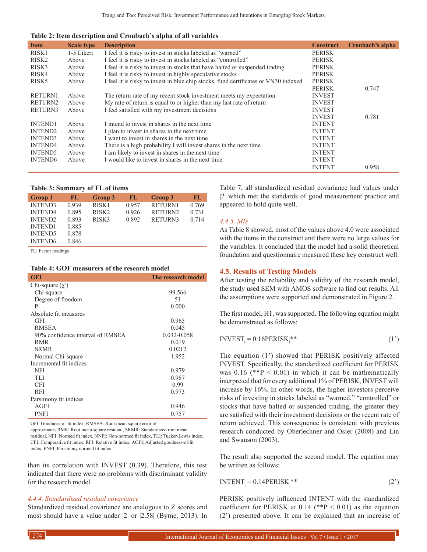**Table 2: Item description and Cronbach's alpha of all variables**

| <b>Item</b>       | <b>Scale type</b> | <b>Description</b>                                                                  | <b>Construct</b> | Cronbach's alpha |
|-------------------|-------------------|-------------------------------------------------------------------------------------|------------------|------------------|
| RISK1             | 1-5 Likert        | I feel it is risky to invest in stocks labeled as "warned"                          | <b>PERISK</b>    |                  |
| RISK <sub>2</sub> | Above             | I feel it is risky to invest in stocks labeled as "controlled"                      | <b>PERISK</b>    |                  |
| RISK3             | Above             | I feel it is risky to invest in stocks that have halted or suspended trading        | <b>PERISK</b>    |                  |
| RISK4             | Above             | I feel it is risky to invest in highly speculative stocks                           | <b>PERISK</b>    |                  |
| RISK <sub>5</sub> | Above             | I feel it is risky to invest in blue chip stocks, fund certificates or VN30 indexed | <b>PERISK</b>    |                  |
|                   |                   |                                                                                     | <b>PERISK</b>    | 0.747            |
| <b>RETURN1</b>    | Above             | The return rate of my recent stock investment meets my expectation                  | <b>INVEST</b>    |                  |
| RETURN2           | Above             | My rate of return is equal to or higher than my last rate of return                 | <b>INVEST</b>    |                  |
| <b>RETURN3</b>    | Above             | I feel satisfied with my investment decisions                                       | <b>INVEST</b>    |                  |
|                   |                   |                                                                                     | <b>INVEST</b>    | 0.781            |
| <b>INTEND1</b>    | Above             | I intend to invest in shares in the next time                                       | <b>INTENT</b>    |                  |
| <b>INTEND2</b>    | Above             | I plan to invest in shares in the next time                                         | <b>INTENT</b>    |                  |
| <b>INTEND3</b>    | Above             | I want to invest in shares in the next time                                         | <b>INTENT</b>    |                  |
| <b>INTEND4</b>    | Above             | There is a high probability I will invest shares in the next time                   | <b>INTENT</b>    |                  |
| <b>INTEND5</b>    | Above             | I am likely to invest in shares in the next time                                    | <b>INTENT</b>    |                  |
| <b>INTEND6</b>    | Above             | I would like to invest in shares in the next time                                   | <b>INTENT</b>    |                  |
|                   |                   |                                                                                     | <b>INTENT</b>    | 0.958            |
|                   |                   |                                                                                     |                  |                  |

#### **Table 3: Summary of FL of items**

| <b>Group 1</b> | FL    | <b>Group 2</b>    | ЕИ    | Group 3        | FL.   |
|----------------|-------|-------------------|-------|----------------|-------|
| <b>INTEND3</b> | 0.939 | RISK <sub>1</sub> | 0.957 | <b>RETURN1</b> | 0.769 |
| <b>INTEND4</b> | 0.895 | RISK <sub>2</sub> | 0.926 | RETURN2        | 0.731 |
| <b>INTEND2</b> | 0.893 | RISK3             | 0.892 | RETURN3        | 0.714 |
| <b>INTEND1</b> | 0.885 |                   |       |                |       |
| <b>INTEND5</b> | 0.878 |                   |       |                |       |
| <b>INTEND6</b> | 0.846 |                   |       |                |       |

FL: Factor loadings

#### **Table 4: GOF measurers of the research model**

| <b>GFI</b>                       | The research model |
|----------------------------------|--------------------|
| Chi-square $(\chi^2)$            |                    |
| Chi-square                       | 99.566             |
| Degree of freedom                | 51                 |
| P                                | 0.000              |
| Absolute fit measures            |                    |
| GFI                              | 0.965              |
| <b>RMSEA</b>                     | 0.045              |
| 90% confidence interval of RMSEA | 0.032-0.058        |
| RMR.                             | 0.019              |
| <b>SRMR</b>                      | 0.0212             |
| Normal Chi-square                | 1.952              |
| Incremental fit indices          |                    |
| <b>NFI</b>                       | 0.979              |
| TLI                              | 0.987              |
| <b>CFI</b>                       | 0.99               |
| <b>RFI</b>                       | 0.973              |
| Parsimony fit indices            |                    |
| AGFI                             | 0.946              |
| <b>PNFI</b>                      | 0.757              |
|                                  |                    |

GFI: Goodness‑of‑fit index, RMSEA: Root mean square error of

approximate, RMR: Root mean square residual, SRMR: Standardized root mean residual, NFI: Normed fit index, NNFI: Non-normed fit index, TLI: Tucker-Lewis index, CFI: Comparative fit index, RFI: Relative fit index, AGFI: Adjusted goodness‑of‑fit index, PNFI: Parsimony normed fit index

than its correlation with INVEST (0.39). Therefore, this test indicated that there were no problems with discriminant validity for the research model.

#### *4.4.4. Standardized residual covariance*

Standardized residual covariance are analogous to Z scores and most should have a value under |2| or |2.58| (Byrne, 2013). In Table 7, all standardized residual covariance had values under |2| which met the standards of good measurement practice and appeared to hold quite well.

#### *4.4.5. MIs*

As Table 8 showed, most of the values above 4.0 were associated with the items in the construct and there were no large values for the variables. It concluded that the model had a solid theoretical foundation and questionnaire measured these key construct well.

#### **4.5. Results of Testing Models**

After testing the reliability and validity of the research model, the study used SEM with AMOS software to find out results. All the assumptions were supported and demonstrated in Figure 2.

The first model, H1, was supported. The following equation might be demonstrated as follows:

$$
INVEST_i = 0.16PERISK_i^{**}
$$
 (1')

The equation (1') showed that PERISK positively affected INVEST. Specifically, the standardized coefficient for PERISK was  $0.16$  (\*\*P < 0.01) in which it can be mathematically interpreted that for every additional 1% of PERISK, INVEST will increase by 16%. In other words, the higher investors perceive risks of investing in stocks labeled as "warned," "controlled" or stocks that have halted or suspended trading, the greater they are satisfied with their investment decisions or the recent rate of return achieved. This consequence is consistent with previous research conducted by Oberlechner and Osler (2008) and Lin and Swanson (2003).

The result also supported the second model. The equation may be written as follows:

$$
INTERIT_i = 0.14PERISK_i^{**}
$$
 (2')

PERISK positively influenced INTENT with the standardized coefficient for PERISK at  $0.14$  (\*\*P < 0.01) as the equation (2') presented above. It can be explained that an increase of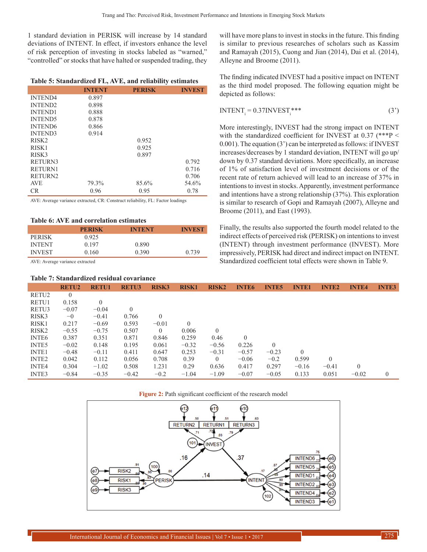1 standard deviation in PERISK will increase by 14 standard deviations of INTENT. In effect, if investors enhance the level of risk perception of investing in stocks labeled as "warned," "controlled" or stocks that have halted or suspended trading, they

#### **Table 5: Standardized FL, AVE, and reliability estimates**

|                   | <b>INTENT</b> | <b>PERISK</b> | <b>INVEST</b> |
|-------------------|---------------|---------------|---------------|
| <b>INTEND4</b>    | 0.897         |               |               |
| <b>INTEND2</b>    | 0.898         |               |               |
| <b>INTEND1</b>    | 0.888         |               |               |
| <b>INTEND5</b>    | 0.878         |               |               |
| <b>INTEND6</b>    | 0.866         |               |               |
| <b>INTEND3</b>    | 0.914         |               |               |
| RISK <sub>2</sub> |               | 0.952         |               |
| RISK <sub>1</sub> |               | 0.925         |               |
| RISK3             |               | 0.897         |               |
| RETURN3           |               |               | 0.792         |
| <b>RETURN1</b>    |               |               | 0.716         |
| RETURN2           |               |               | 0.706         |
| <b>AVE</b>        | 79.3%         | 85.6%         | 54.6%         |
| CR.               | 0.96          | 0.95          | 0.78          |

AVE: Average variance extracted, CR: Construct reliability, FL: Factor loadings

#### **Table 6: AVE and correlation estimates**

|               | <b>PERISK</b> | <b>INTENT</b> | <b>INVEST</b> |
|---------------|---------------|---------------|---------------|
| <b>PERISK</b> | 0.925         |               |               |
| <b>INTENT</b> | 0.197         | 0.890         |               |
| <b>INVEST</b> | 0.160         | 0.390         | 0.739         |

AVE: Average variance extracted

#### **Table 7: Standardized residual covariance**

will have more plans to invest in stocks in the future. This finding is similar to previous researches of scholars such as Kassim and Ramayah (2015), Cuong and Jian (2014), Dai et al. (2014), Alleyne and Broome (2011).

The finding indicated INVEST had a positive impact on INTENT as the third model proposed. The following equation might be depicted as follows:

$$
INTERTi = 0.37 INVESTi***
$$
 (3')

More interestingly, INVEST had the strong impact on INTENT with the standardized coefficient for INVEST at  $0.37$  (\*\*\*P < 0.001). The equation (3') can be interpreted as follows: if INVEST increases/decreases by 1 standard deviation, INTENT will go up/ down by 0.37 standard deviations. More specifically, an increase of 1% of satisfaction level of investment decisions or of the recent rate of return achieved will lead to an increase of 37% in intentions to invest in stocks. Apparently, investment performance and intentions have a strong relationship (37%). This exploration is similar to research of Gopi and Ramayah (2007), Alleyne and Broome (2011), and East (1993).

Finally, the results also supported the fourth model related to the indirect effects of perceived risk (PERISK) on intentions to invest (INTENT) through investment performance (INVEST). More impressively, PERISK had direct and indirect impact on INTENT. Standardized coefficient total effects were shown in Table 9.

|                   | <b>RETU2</b>   | <b>RETU1</b> | <b>RETU3</b> | <b>RISK3</b>   | <b>RISK1</b> | <b>RISK2</b> | <b>INTE6</b> | <b>INTE5</b> | <b>INTE1</b> | <b>INTE2</b> | <b>INTE4</b> | <b>INTE3</b> |
|-------------------|----------------|--------------|--------------|----------------|--------------|--------------|--------------|--------------|--------------|--------------|--------------|--------------|
| RETU2             | $\overline{0}$ |              |              |                |              |              |              |              |              |              |              |              |
| RETU1             | 0.158          | $\theta$     |              |                |              |              |              |              |              |              |              |              |
| RETU3             | $-0.07$        | $-0.04$      | $\mathbf{0}$ |                |              |              |              |              |              |              |              |              |
| RISK3             | $-0$           | $-0.41$      | 0.766        | $\overline{0}$ |              |              |              |              |              |              |              |              |
| RISK1             | 0.217          | $-0.69$      | 0.593        | $-0.01$        | $\Omega$     |              |              |              |              |              |              |              |
| RISK <sub>2</sub> | $-0.55$        | $-0.75$      | 0.507        | $\Omega$       | 0.006        | $\theta$     |              |              |              |              |              |              |
| INTE6             | 0.387          | 0.351        | 0.871        | 0.846          | 0.259        | 0.46         | $\Omega$     |              |              |              |              |              |
| <b>INTE5</b>      | $-0.02$        | 0.148        | 0.195        | 0.061          | $-0.32$      | $-0.56$      | 0.226        | $\theta$     |              |              |              |              |
| <b>INTE1</b>      | $-0.48$        | $-0.11$      | 0.411        | 0.647          | 0.253        | $-0.31$      | $-0.57$      | $-0.23$      | $\Omega$     |              |              |              |
| INTE <sub>2</sub> | 0.042          | 0.112        | 0.056        | 0.708          | 0.39         | $\Omega$     | $-0.06$      | $-0.2$       | 0.599        | $\Omega$     |              |              |
| <b>INTE4</b>      | 0.304          | $-1.02$      | 0.508        | 1.231          | 0.29         | 0.636        | 0.417        | 0.297        | $-0.16$      | $-0.41$      |              |              |
| <b>INTE3</b>      | $-0.84$        | $-0.35$      | $-0.42$      | $-0.2$         | $-1.04$      | $-1.09$      | $-0.07$      | $-0.05$      | 0.133        | 0.051        | $-0.02$      | $\Omega$     |



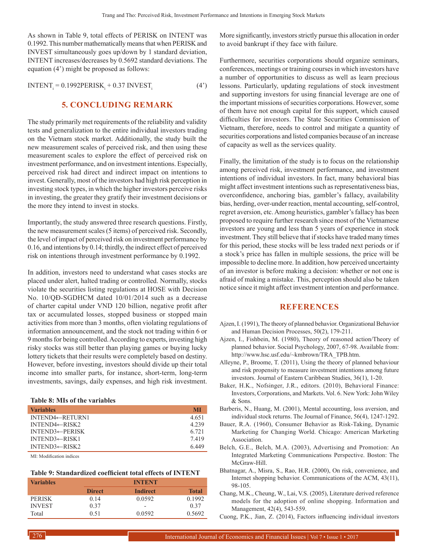As shown in Table 9, total effects of PERISK on INTENT was 0.1992. This number mathematically means that when PERISK and INVEST simultaneously goes up/down by 1 standard deviation, INTENT increases/decreases by 0.5692 standard deviations. The equation (4') might be proposed as follows:

 $\text{INTERT}_{i} = 0.1992 \text{PERISK}_{i} + 0.37 \text{ INVEST}_{i}$  (4')

# **5. CONCLUDING REMARK**

The study primarily met requirements of the reliability and validity tests and generalization to the entire individual investors trading on the Vietnam stock market. Additionally, the study built the new measurement scales of perceived risk, and then using these measurement scales to explore the effect of perceived risk on investment performance, and on investment intentions. Especially, perceived risk had direct and indirect impact on intentions to invest. Generally, most of the investors had high risk perception in investing stock types, in which the higher investors perceive risks in investing, the greater they gratify their investment decisions or the more they intend to invest in stocks.

Importantly, the study answered three research questions. Firstly, the new measurement scales (5 items) of perceived risk. Secondly, the level of impact of perceived risk on investment performance by 0.16, and intentions by 0.14; thirdly, the indirect effect of perceived risk on intentions through investment performance by 0.1992.

In addition, investors need to understand what cases stocks are placed under alert, halted trading or controlled. Normally, stocks violate the securities listing regulations at HOSE with Decision No. 10/QĐ-SGDHCM dated 10/01/2014 such as a decrease of charter capital under VND 120 billion, negative profit after tax or accumulated losses, stopped business or stopped main activities from more than 3 months, often violating regulations of information announcement, and the stock not trading within 6 or 9 months for being controlled. According to experts, investing high risky stocks was still better than playing games or buying lucky lottery tickets that their results were completely based on destiny. However, before investing, investors should divide up their total income into smaller parts, for instance, short-term, long-term investments, savings, daily expenses, and high risk investment.

#### **Table 8: MIs of the variables**

| <b>Variables</b>             | МI      |
|------------------------------|---------|
| INTEND4 $\leftarrow$ RETURN1 | 4651    |
| INTEND4 $\leftarrow$ RISK2   | 4 2 3 9 |
| $INTEND3 \leftarrow PERISK$  | 6.721   |
| $INTEND3 \leftarrow RISK1$   | 7419    |
| INTEND3 $\leftarrow$ RISK2   | 6449    |

MI: Modification indices

#### **Table 9: Standardized coefficient total effects of INTENT**

| <b>Variables</b> | <b>INTENT</b> |                          |              |  |
|------------------|---------------|--------------------------|--------------|--|
|                  | <b>Direct</b> | <b>Indirect</b>          | <b>Total</b> |  |
| <b>PERISK</b>    | 0.14          | 0.0592                   | 0.1992       |  |
| <b>INVEST</b>    | 0.37          | $\overline{\phantom{a}}$ | 0.37         |  |
| Total            | 0.51          | 0.0592                   | 0.5692       |  |

More significantly, investors strictly pursue this allocation in order to avoid bankrupt if they face with failure.

Furthermore, securities corporations should organize seminars, conferences, meetings or training courses in which investors have a number of opportunities to discuss as well as learn precious lessons. Particularly, updating regulations of stock investment and supporting investors for using financial leverage are one of the important missions of securities corporations. However, some of them have not enough capital for this support, which caused difficulties for investors. The State Securities Commission of Vietnam, therefore, needs to control and mitigate a quantity of securities corporations and listed companies because of an increase of capacity as well as the services quality.

Finally, the limitation of the study is to focus on the relationship among perceived risk, investment performance, and investment intentions of individual investors. In fact, many behavioral bias might affect investment intentions such as representativeness bias, overconfidence, anchoring bias, gambler's fallacy, availability bias, herding, over-under reaction, mental accounting, self-control, regret aversion, etc. Among heuristics, gambler's fallacy has been proposed to require further research since most of the Vietnamese investors are young and less than 5 years of experience in stock investment. They still believe that if stocks have traded many times for this period, these stocks will be less traded next periods or if a stock's price has fallen in multiple sessions, the price will be impossible to decline more. In addition, how perceived uncertainty of an investor is before making a decision: whether or not one is afraid of making a mistake. This, perception should also be taken notice since it might affect investment intention and performance.

#### **REFERENCES**

- Ajzen, I. (1991), The theory of planned behavior. Organizational Behavior and Human Decision Processes, 50(2), 179-211.
- Ajzen, I., Fishbein, M. (1980), Theory of reasoned action/Theory of planned behavior. Social Psychology, 2007, 67-98. Available from: http://www.hsc.usf.edu/~kmbrown/TRA\_TPB.htm.
- Alleyne, P., Broome, T. (2011), Using the theory of planned behaviour and risk propensity to measure investment intentions among future investors. Journal of Eastern Caribbean Studies, 36(1), 1-20.
- Baker, H.K., Nofsinger, J.R., editors. (2010), Behavioral Finance: Investors, Corporations, and Markets. Vol. 6. New York: John Wiley & Sons.
- Barberis, N., Huang, M. (2001), Mental accounting, loss aversion, and individual stock returns. The Journal of Finance, 56(4), 1247-1292.
- Bauer, R.A. (1960), Consumer Behavior as Risk-Taking, Dynamic Marketing for Changing World. Chicago: American Marketing Association.
- Belch, G.E., Belch, M.A. (2003), Advertising and Promotion: An Integrated Marketing Communications Perspective. Boston: The McGraw-Hill.
- Bhatnagar, A., Misra, S., Rao, H.R. (2000), On risk, convenience, and Internet shopping behavior. Communications of the ACM, 43(11), 98-105.
- Chang, M.K., Cheung, W., Lai, V.S. (2005), Literature derived reference models for the adoption of online shopping. Information and Management, 42(4), 543-559.

Cuong, P.K., Jian, Z. (2014), Factors influencing individual investors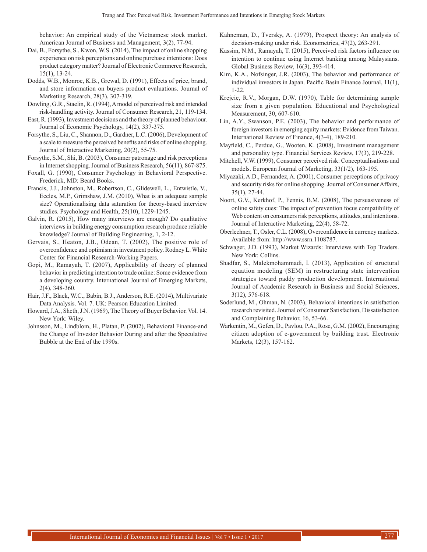behavior: An empirical study of the Vietnamese stock market. American Journal of Business and Management, 3(2), 77-94.

- Dai, B., Forsythe, S., Kwon, W.S. (2014), The impact of online shopping experience on risk perceptions and online purchase intentions: Does product category matter? Journal of Electronic Commerce Research, 15(1), 13-24.
- Dodds, W.B., Monroe, K.B., Grewal, D. (1991), Effects of price, brand, and store information on buyers product evaluations. Journal of Marketing Research, 28(3), 307-319.
- Dowling, G.R., Staelin, R. (1994), A model of perceived risk and intended risk-handling activity. Journal of Consumer Research, 21, 119-134.
- East, R. (1993), Investment decisions and the theory of planned behaviour. Journal of Economic Psychology, 14(2), 337-375.
- Forsythe, S., Liu, C., Shannon, D., Gardner, L.C. (2006), Development of a scale to measure the perceived benefits and risks of online shopping. Journal of Interactive Marketing, 20(2), 55-75.
- Forsythe, S.M., Shi, B. (2003), Consumer patronage and risk perceptions in Internet shopping. Journal of Business Research, 56(11), 867-875.
- Foxall, G. (1990), Consumer Psychology in Behavioral Perspective. Frederick, MD: Beard Books.
- Francis, J.J., Johnston, M., Robertson, C., Glidewell, L., Entwistle, V., Eccles, M.P., Grimshaw, J.M. (2010), What is an adequate sample size? Operationalising data saturation for theory-based interview studies. Psychology and Health, 25(10), 1229-1245.
- Galvin, R. (2015), How many interviews are enough? Do qualitative interviews in building energy consumption research produce reliable knowledge? Journal of Building Engineering, 1, 2-12.
- Gervais, S., Heaton, J.B., Odean, T. (2002), The positive role of overconfidence and optimism in investment policy. Rodney L. White Center for Financial Research-Working Papers.
- Gopi, M., Ramayah, T. (2007), Applicability of theory of planned behavior in predicting intention to trade online: Some evidence from a developing country. International Journal of Emerging Markets, 2(4), 348-360.
- Hair, J.F., Black, W.C., Babin, B.J., Anderson, R.E. (2014), Multivariate Data Analysis. Vol. 7. UK: Pearson Education Limited.
- Howard, J.A., Sheth, J.N. (1969), The Theory of Buyer Behavior. Vol. 14. New York: Wiley.
- Johnsson, M., Lindblom, H., Platan, P. (2002), Behavioral Finance-and the Change of Investor Behavior During and after the Speculative Bubble at the End of the 1990s.
- Kahneman, D., Tversky, A. (1979), Prospect theory: An analysis of decision-making under risk. Econometrica, 47(2), 263-291.
- Kassim, N.M., Ramayah, T. (2015), Perceived risk factors influence on intention to continue using Internet banking among Malaysians. Global Business Review, 16(3), 393-414.
- Kim, K.A., Nofsinger, J.R. (2003), The behavior and performance of individual investors in Japan. Pacific Basin Finance Journal, 11(1), 1-22.
- Krejcie, R.V., Morgan, D.W. (1970), Table for determining sample size from a given population. Educational and Psychological Measurement, 30, 607-610.
- Lin, A.Y., Swanson, P.E. (2003), The behavior and performance of foreign investors in emerging equity markets: Evidence from Taiwan. International Review of Finance, 4(3-4), 189-210.
- Mayfield, C., Perdue, G., Wooten, K. (2008), Investment management and personality type. Financial Services Review, 17(3), 219-228.
- Mitchell, V.W. (1999), Consumer perceived risk: Conceptualisations and models. European Journal of Marketing, 33(1/2), 163-195.
- Miyazaki, A.D., Fernandez, A. (2001), Consumer perceptions of privacy and security risks for online shopping. Journal of Consumer Affairs, 35(1), 27-44.
- Noort, G.V., Kerkhof, P., Fennis, B.M. (2008), The persuasiveness of online safety cues: The impact of prevention focus compatibility of Web content on consumers risk perceptions, attitudes, and intentions. Journal of Interactive Marketing, 22(4), 58-72.
- Oberlechner, T., Osler, C.L. (2008), Overconfidence in currency markets. Available from: http://www.ssrn.1108787.
- Schwager, J.D. (1993), Market Wizards: Interviews with Top Traders. New York: Collins.
- Shadfar, S., Malekmohammadi, I. (2013), Application of structural equation modeling (SEM) in restructuring state intervention strategies toward paddy production development. International Journal of Academic Research in Business and Social Sciences, 3(12), 576-618.
- Soderlund, M., Ohman, N. (2003), Behavioral intentions in satisfaction research revisited. Journal of Consumer Satisfaction, Dissatisfaction and Complaining Behavior, 16, 53-66.
- Warkentin, M., Gefen, D., Pavlou, P.A., Rose, G.M. (2002), Encouraging citizen adoption of e-government by building trust. Electronic Markets, 12(3), 157-162.